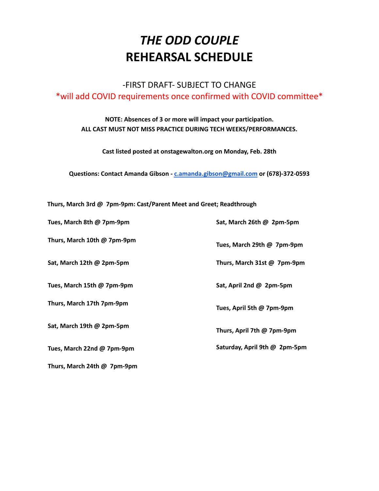# *THE ODD COUPLE* **REHEARSAL SCHEDULE**

## -FIRST DRAFT- SUBJECT TO CHANGE \*will add COVID requirements once confirmed with COVID committee\*

## **NOTE: Absences of 3 or more will impact your participation. ALL CAST MUST NOT MISS PRACTICE DURING TECH WEEKS/PERFORMANCES.**

**Cast listed posted at onstagewalton.org on Monday, Feb. 28th**

**Questions: Contact Amanda Gibson - c.amanda.gibson@gmail.com or (678)-372-0593**

**Thurs, March 3rd @ 7pm-9pm: Cast/Parent Meet and Greet; Readthrough**

| Tues, March 8th @ 7pm-9pm   | Sat, March 26th @ 2pm-5pm     |
|-----------------------------|-------------------------------|
| Thurs, March 10th @ 7pm-9pm | Tues, March 29th @ 7pm-9pm    |
| Sat, March 12th @ 2pm-5pm   | Thurs, March 31st @ 7pm-9pm   |
| Tues, March 15th @ 7pm-9pm  | Sat, April 2nd @ 2pm-5pm      |
| Thurs, March 17th 7pm-9pm   | Tues, April 5th @ 7pm-9pm     |
| Sat, March 19th $@$ 2pm-5pm | Thurs, April 7th @ 7pm-9pm    |
| Tues, March 22nd @ 7pm-9pm  | Saturday, April 9th @ 2pm-5pm |
| Thurs, March 24th @ 7pm-9pm |                               |